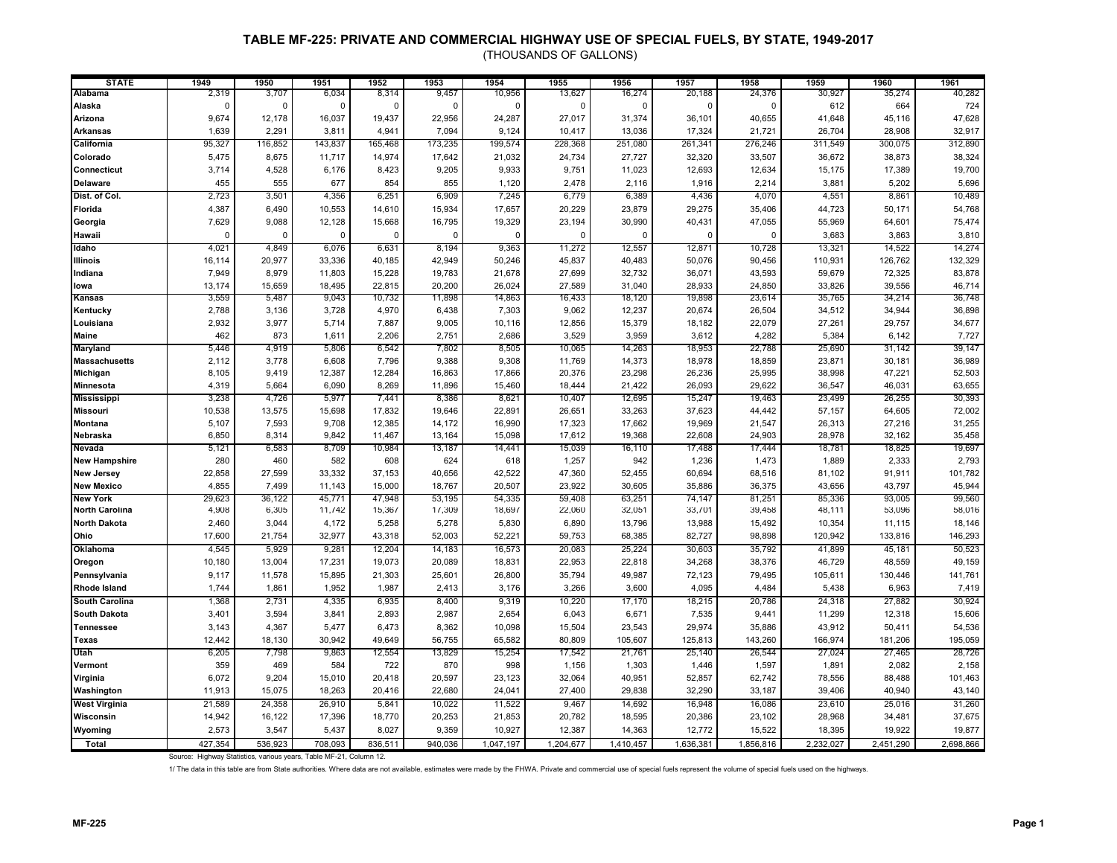(THOUSANDS OF GALLONS)

| <b>STATE</b>          | 1949          | 1950        | 1951        | 1952        | 1953        | 1954        | 1955          | 1956        | 1957        | 1958        | 1959      | 1960      | 1961      |
|-----------------------|---------------|-------------|-------------|-------------|-------------|-------------|---------------|-------------|-------------|-------------|-----------|-----------|-----------|
| Alabama               | 2,319         | 3,707       | 6,034       | 8,314       | 9,457       | 10,956      | 13,627        | 16,274      | 20,188      | 24,376      | 30,927    | 35,274    | 40,282    |
| Alaska                | $\mathcal{C}$ | $\Omega$    | $\mathbf 0$ | $\Omega$    | $\Omega$    | $\Omega$    | $\mathcal{C}$ | 0           | $\Omega$    | $\Omega$    | 612       | 664       | 724       |
| Arizona               | 9,674         | 12,178      | 16,037      | 19,437      | 22,956      | 24,287      | 27,017        | 31,374      | 36,101      | 40,655      | 41,648    | 45,116    | 47,628    |
| <b>Arkansas</b>       | 1,639         | 2,291       | 3,811       | 4,941       | 7,094       | 9,124       | 10,417        | 13,036      | 17,324      | 21,721      | 26,704    | 28,908    | 32,917    |
| California            | 95,327        | 116,852     | 143,837     | 165,468     | 173,235     | 199,574     | 228,368       | 251,080     | 261,341     | 276,246     | 311,549   | 300,075   | 312,890   |
| Colorado              | 5,475         | 8,675       | 11,717      | 14,974      | 17,642      | 21,032      | 24,734        | 27,727      | 32,320      | 33,507      | 36,672    | 38,873    | 38,324    |
| Connecticut           | 3,714         | 4,528       | 6,176       | 8,423       | 9,205       | 9,933       | 9,751         | 11,023      | 12,693      | 12,634      | 15,175    | 17,389    | 19,700    |
| <b>Delaware</b>       | 455           | 555         | 677         | 854         | 855         | 1,120       | 2,478         | 2,116       | 1,916       | 2,214       | 3,881     | 5,202     | 5,696     |
| Dist. of Col.         | 2,723         | 3,501       | 4,356       | 6,251       | 6,909       | 7,245       | 6,779         | 6,389       | 4,436       | 4,070       | 4,551     | 8,861     | 10,489    |
| Florida               | 4,387         | 6,490       | 10,553      | 14,610      | 15,934      | 17,657      | 20,229        | 23,879      | 29,275      | 35,406      | 44,723    | 50,171    | 54,768    |
| Georgia               | 7,629         | 9,088       | 12,128      | 15,668      | 16,795      | 19,329      | 23,194        | 30,990      | 40,431      | 47,055      | 55,969    | 64,601    | 75,474    |
|                       | $\Omega$      |             |             |             |             | $\mathbf 0$ | $\Omega$      |             | $\mathbf 0$ |             |           |           |           |
| Hawaii                |               | $\mathbf 0$ | $\mathbf 0$ | $\mathbf 0$ | $\mathbf 0$ |             |               | $\mathbf 0$ |             | $\mathbf 0$ | 3,683     | 3,863     | 3,810     |
| Idaho                 | 4,021         | 4,849       | 6,076       | 6,631       | 8,194       | 9,363       | 11,272        | 12,557      | 12,871      | 10,728      | 13,321    | 14,522    | 14,274    |
| <b>Illinois</b>       | 16,114        | 20,977      | 33,336      | 40,185      | 42,949      | 50,246      | 45,837        | 40,483      | 50,076      | 90,456      | 110,931   | 126,762   | 132,329   |
| Indiana               | 7,949         | 8,979       | 11,803      | 15,228      | 19,783      | 21,678      | 27,699        | 32,732      | 36,071      | 43,593      | 59,679    | 72,325    | 83,878    |
| lowa                  | 13,174        | 15,659      | 18,495      | 22,815      | 20,200      | 26,024      | 27,589        | 31,040      | 28,933      | 24,850      | 33,826    | 39,556    | 46,714    |
| Kansas                | 3,559         | 5,487       | 9,043       | 10,732      | 11,898      | 14,863      | 16,433        | 18,120      | 19,898      | 23,614      | 35,765    | 34,214    | 36,748    |
| Kentucky              | 2,788         | 3,136       | 3,728       | 4,970       | 6,438       | 7,303       | 9,062         | 12,237      | 20,674      | 26,504      | 34,512    | 34,944    | 36,898    |
| Louisiana             | 2,932         | 3,977       | 5,714       | 7,887       | 9,005       | 10,116      | 12,856        | 15,379      | 18,182      | 22,079      | 27,261    | 29,757    | 34,677    |
| <b>Maine</b>          | 462           | 873         | 1,611       | 2,206       | 2,751       | 2,686       | 3,529         | 3,959       | 3,612       | 4,282       | 5,384     | 6,142     | 7,727     |
| <b>Maryland</b>       | 5,446         | 4,919       | 5,806       | 6,542       | 7,802       | 8,505       | 10,065        | 14,263      | 18,953      | 22,788      | 25,690    | 31,142    | 39,147    |
| <b>Massachusetts</b>  | 2,112         | 3,778       | 6,608       | 7,796       | 9,388       | 9,308       | 11,769        | 14,373      | 18,978      | 18,859      | 23,871    | 30,181    | 36,989    |
| Michigan              | 8,105         | 9,419       | 12,387      | 12,284      | 16,863      | 17,866      | 20,376        | 23,298      | 26,236      | 25,995      | 38,998    | 47,221    | 52,503    |
| Minnesota             | 4,319         | 5,664       | 6,090       | 8,269       | 11,896      | 15,460      | 18,444        | 21,422      | 26,093      | 29,622      | 36,547    | 46,031    | 63,655    |
| <b>Mississippi</b>    | 3,238         | 4,726       | 5,977       | 7,441       | 8,386       | 8,621       | 10,407        | 12,695      | 15,247      | 19,463      | 23,499    | 26,255    | 30,393    |
| <b>Missouri</b>       | 10,538        | 13,575      | 15,698      | 17,832      | 19,646      | 22,891      | 26,651        | 33,263      | 37,623      | 44,442      | 57,157    | 64,605    | 72,002    |
| <b>Montana</b>        | 5,107         | 7,593       | 9,708       | 12,385      | 14,172      | 16,990      | 17,323        | 17,662      | 19,969      | 21,547      | 26,313    | 27,216    | 31,255    |
| Nebraska              | 6,850         | 8,314       | 9,842       | 11,467      | 13,164      | 15,098      | 17,612        | 19,368      | 22.608      | 24,903      | 28,978    | 32,162    | 35,458    |
| Nevada                | 5,121         | 6,583       | 8,709       | 10,984      | 13,187      | 14,441      | 15,039        | 16,110      | 17,488      | 17,444      | 18,781    | 18,825    | 19,697    |
| <b>New Hampshire</b>  | 280           | 460         | 582         | 608         | 624         | 618         | 1,257         | 942         | 1,236       | 1,473       | 1,889     | 2,333     | 2,793     |
| <b>New Jersey</b>     | 22,858        | 27,599      | 33,332      | 37,153      | 40,656      | 42,522      | 47,360        | 52,455      | 60,694      | 68,516      | 81,102    | 91,911    | 101,782   |
| <b>New Mexico</b>     | 4,855         | 7,499       | 11,143      | 15,000      | 18,767      | 20,507      | 23,922        | 30,605      | 35,886      | 36,375      | 43,656    | 43,797    | 45,944    |
| <b>New York</b>       | 29,623        | 36,122      | 45,771      | 47,948      | 53,195      | 54,335      | 59,408        | 63,251      | 74,147      | 81,251      | 85,336    | 93,005    | 99,560    |
| <b>North Carolina</b> | 4,908         | 6,305       | 11,742      | 15,367      | 17,309      | 18,697      | 22,060        | 32,051      | 33,701      | 39,458      | 48,111    | 53,096    | 58,016    |
| <b>North Dakota</b>   | 2,460         | 3,044       | 4,172       | 5,258       | 5,278       | 5,830       | 6,890         | 13,796      | 13,988      | 15,492      | 10,354    | 11,115    | 18,146    |
| Ohio                  | 17,600        | 21,754      | 32,977      | 43,318      | 52,003      | 52,221      | 59,753        | 68,385      | 82,727      | 98,898      | 120,942   | 133,816   | 146,293   |
| Oklahoma              | 4,545         | 5,929       | 9,281       | 12,204      | 14,183      | 16,573      | 20,083        | 25,224      | 30,603      | 35,792      | 41,899    | 45,181    | 50,523    |
| Oregon                | 10,180        | 13,004      | 17,231      | 19,073      | 20,089      | 18,831      | 22,953        | 22,818      | 34,268      | 38,376      | 46,729    | 48,559    | 49,159    |
| Pennsylvania          | 9,117         | 11,578      | 15,895      | 21,303      | 25,601      | 26,800      | 35,794        | 49,987      | 72,123      | 79,495      | 105,611   | 130,446   | 141,761   |
| <b>Rhode Island</b>   | 1,744         | 1,861       | 1,952       | 1,987       | 2,413       | 3,176       | 3,266         | 3,600       | 4,095       | 4,484       | 5,438     | 6,963     | 7,419     |
| <b>South Carolina</b> | 1,368         | 2,731       | 4,335       | 6,935       | 8,400       | 9,319       | 10,220        | 17,170      | 18,215      | 20,786      | 24,318    | 27,882    | 30,924    |
| <b>South Dakota</b>   | 3,401         | 3,594       | 3,841       | 2,893       | 2,987       | 2,654       | 6,043         | 6,671       | 7,535       | 9,441       | 11,299    | 12,318    | 15,606    |
| <b>Tennessee</b>      | 3,143         | 4,367       | 5,477       | 6,473       | 8,362       | 10,098      | 15,504        | 23,543      | 29,974      | 35,886      | 43,912    | 50,411    | 54,536    |
| <b>Texas</b>          | 12,442        | 18,130      | 30.942      | 49,649      | 56,755      | 65,582      | 80.809        | 105,607     | 125,813     | 143,260     | 166,974   | 181,206   | 195,059   |
| Utah                  | 6,205         | 7,798       | 9,863       | 12,554      | 13,829      | 15,254      | 17,542        | 21,761      | 25,140      | 26,544      | 27,024    | 27,465    | 28,726    |
| Vermont               | 359           | 469         | 584         | 722         | 870         | 998         | 1,156         | 1,303       | 1,446       | 1,597       | 1,891     | 2,082     | 2,158     |
| Virginia              | 6,072         | 9,204       | 15,010      | 20,418      | 20,597      | 23,123      | 32,064        | 40,951      | 52,857      | 62,742      | 78,556    | 88,488    | 101,463   |
| Washington            | 11,913        | 15,075      | 18.263      | 20.416      | 22,680      | 24,041      | 27,400        | 29,838      | 32.290      | 33,187      | 39,406    | 40,940    | 43,140    |
| <b>West Virginia</b>  | 21,589        | 24,358      | 26,910      | 5,841       | 10,022      | 11,522      | 9,467         | 14,692      | 16,948      | 16,086      | 23,610    | 25,016    | 31,260    |
|                       |               |             |             |             |             |             |               |             |             |             |           |           |           |
| Wisconsin             | 14,942        | 16,122      | 17,396      | 18,770      | 20,253      | 21,853      | 20,782        | 18,595      | 20,386      | 23,102      | 28,968    | 34,481    | 37,675    |
| Wyoming               | 2,573         | 3,547       | 5,437       | 8,027       | 9,359       | 10,927      | 12,387        | 14,363      | 12,772      | 15,522      | 18,395    | 19,922    | 19,877    |
| Total                 | 427,354       | 536,923     | 708,093     | 836,511     | 940,036     | 1,047,197   | 1,204,677     | 1,410,457   | 1,636,381   | 1,856,816   | 2,232,027 | 2,451,290 | 2,698,866 |

Source: Highway Statistics, various years, Table MF-21, Column 12.

1/ The data in this table are from State authorities. Where data are not available, estimates were made by the FHWA. Private and commercial use of special fuels represent the volume of special fuels used on the highways.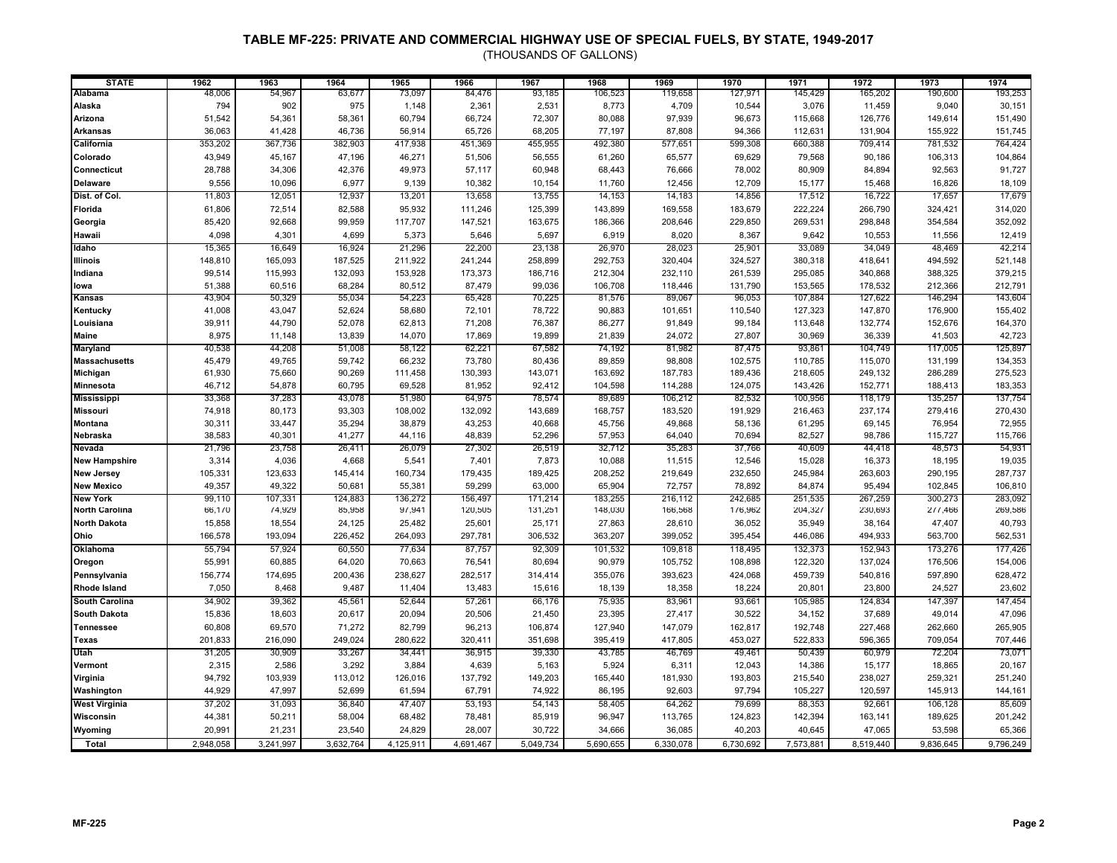| <b>STATE</b>          | 1962      | 1963      | 1964      | 1965      | 1966      | 1967      | 1968      | 1969      | 1970      | 1971      | 1972      | 1973      | 1974      |
|-----------------------|-----------|-----------|-----------|-----------|-----------|-----------|-----------|-----------|-----------|-----------|-----------|-----------|-----------|
| Alabama               | 48,006    | 54,967    | 63,677    | 73,097    | 84,476    | 93,185    | 106,523   | 119,658   | 127,971   | 145,429   | 165,202   | 190,600   | 193,253   |
| Alaska                | 794       | 902       | 975       | 1,148     | 2,361     | 2,531     | 8,773     | 4,709     | 10,544    | 3,076     | 11,459    | 9,040     | 30,151    |
| Arizona               | 51,542    | 54,361    | 58,361    | 60,794    | 66,724    | 72,307    | 80,088    | 97,939    | 96,673    | 115,668   | 126,776   | 149,614   | 151,490   |
| <b>Arkansas</b>       | 36,063    | 41,428    | 46,736    | 56,914    | 65,726    | 68,205    | 77,197    | 87,808    | 94,366    | 112,631   | 131,904   | 155,922   | 151,745   |
| California            | 353,202   | 367,736   | 382,903   | 417,938   | 451,369   | 455,955   | 492,380   | 577,651   | 599,308   | 660,388   | 709,414   | 781,532   | 764,424   |
| Colorado              | 43,949    | 45,167    | 47,196    | 46,271    | 51,506    | 56,555    | 61,260    | 65,577    | 69,629    | 79,568    | 90,186    | 106,313   | 104,864   |
| Connecticut           | 28,788    | 34,306    | 42,376    | 49,973    | 57,117    | 60,948    | 68,443    | 76,666    | 78,002    | 80,909    | 84,894    | 92,563    | 91,727    |
| <b>Delaware</b>       | 9,556     | 10,096    | 6,977     | 9,139     | 10,382    | 10,154    | 11,760    | 12,456    | 12,709    | 15,177    | 15,468    | 16,826    | 18,109    |
| Dist. of Col.         | 11,803    | 12,051    | 12,937    | 13,201    | 13,658    | 13,755    | 14,153    | 14,183    | 14,856    | 17,512    | 16,722    | 17,657    | 17,679    |
| Florida               | 61,806    | 72,514    | 82,588    | 95,932    | 111,246   | 125,399   | 143,899   | 169,558   | 183,679   | 222,224   | 266,790   | 324,421   | 314,020   |
| Georgia               | 85,420    | 92,668    | 99,959    | 117,707   | 147,521   | 163,675   | 186,366   | 208,646   | 229,850   | 269,531   | 298,848   | 354,584   | 352,092   |
| Hawaii                | 4,098     | 4,301     | 4,699     | 5,373     | 5,646     | 5,697     | 6,919     | 8,020     | 8,367     | 9,642     | 10,553    | 11,556    | 12,419    |
| Idaho                 | 15,365    | 16,649    | 16,924    | 21,296    | 22,200    | 23,138    | 26,970    | 28,023    | 25,901    | 33,089    | 34,049    | 48,469    | 42,214    |
| Illinois              | 148,810   | 165,093   | 187,525   | 211,922   | 241,244   | 258,899   | 292,753   | 320,404   | 324,527   | 380,318   | 418,641   | 494,592   | 521,148   |
| Indiana               | 99,514    | 115,993   | 132,093   | 153,928   | 173,373   | 186,716   | 212,304   | 232,110   | 261,539   | 295,085   | 340,868   | 388,325   | 379,215   |
| lowa                  | 51,388    | 60,516    | 68,284    | 80,512    | 87,479    | 99,036    | 106,708   | 118,446   | 131,790   | 153,565   | 178,532   | 212,366   | 212,791   |
| Kansas                | 43,904    | 50,329    | 55,034    | 54,223    | 65,428    | 70,225    | 81,576    | 89,067    | 96,053    | 107,884   | 127,622   | 146,294   | 143,604   |
| Kentucky              | 41,008    | 43,047    | 52,624    | 58,680    | 72,101    | 78,722    | 90,883    | 101,651   | 110,540   | 127,323   | 147,870   | 176,900   | 155,402   |
| Louisiana             | 39,911    | 44,790    | 52,078    | 62,813    | 71,208    | 76,387    | 86,277    | 91,849    | 99,184    | 113,648   | 132,774   | 152,676   | 164,370   |
| Maine                 | 8,975     | 11,148    | 13,839    | 14,070    | 17,869    | 19,899    | 21,839    | 24,072    | 27,807    | 30,969    | 36,339    | 41,503    | 42,723    |
| <b>Maryland</b>       | 40,538    | 44,208    | 51,008    | 58,122    | 62,221    | 67,582    | 74,192    | 81,982    | 87,475    | 93,861    | 104,749   | 117,005   | 125,897   |
| <b>Massachusetts</b>  | 45,479    | 49,765    | 59,742    | 66,232    | 73,780    | 80,436    | 89,859    | 98,808    | 102,575   | 110,785   | 115,070   | 131,199   | 134,353   |
| Michigan              | 61,930    | 75,660    | 90,269    | 111,458   | 130,393   | 143,071   | 163,692   | 187,783   | 189,436   | 218,605   | 249,132   | 286,289   | 275,523   |
| Minnesota             | 46,712    | 54,878    | 60,795    | 69,528    | 81,952    | 92,412    | 104,598   | 114,288   | 124,075   | 143,426   | 152,771   | 188,413   | 183,353   |
| <b>Mississippi</b>    | 33,368    | 37,283    | 43,078    | 51,980    | 64,975    | 78,574    | 89,689    | 106,212   | 82,532    | 100,956   | 118,179   | 135,257   | 137,754   |
| <b>Missouri</b>       | 74,918    | 80,173    | 93,303    | 108,002   | 132,092   | 143,689   | 168,757   | 183,520   | 191,929   | 216,463   | 237,174   | 279,416   | 270,430   |
| <b>Montana</b>        | 30,311    | 33,447    | 35,294    | 38,879    | 43,253    | 40,668    | 45,756    | 49,868    | 58,136    | 61,295    | 69,145    | 76,954    | 72,955    |
| Nebraska              | 38,583    | 40,301    | 41,277    | 44,116    | 48,839    | 52,296    | 57,953    | 64,040    | 70,694    | 82,527    | 98,786    | 115,727   | 115,766   |
| Nevada                | 21,796    | 23,758    | 26,411    | 26,079    | 27,302    | 26,519    | 32,712    | 35,283    | 37,766    | 40,609    | 44,418    | 48,573    | 54,931    |
| <b>New Hampshire</b>  | 3,314     | 4,036     | 4,668     | 5,541     | 7,401     | 7,873     | 10,088    | 11,515    | 12,546    | 15,028    | 16,373    | 18,195    | 19,035    |
| <b>New Jersey</b>     | 105,331   | 123,633   | 145,414   | 160,734   | 179,435   | 189,425   | 208,252   | 219,649   | 232,650   | 245,984   | 263,603   | 290,195   | 287,737   |
| <b>New Mexico</b>     | 49,357    | 49,322    | 50,681    | 55,381    | 59,299    | 63,000    | 65,904    | 72,757    | 78,892    | 84,874    | 95,494    | 102,845   | 106,810   |
| <b>New York</b>       | 99,110    | 107,331   | 124,883   | 136,272   | 156,497   | 171,214   | 183,255   | 216,112   | 242,685   | 251,535   | 267,259   | 300,273   | 283,092   |
| <b>North Carolina</b> | 66,170    | 74,929    | 85,958    | 97,941    | 120,505   | 131,251   | 148,030   | 166,568   | 176,962   | 204,327   | 230,693   | 277,466   | 269,586   |
| <b>North Dakota</b>   | 15,858    | 18,554    | 24,125    | 25,482    | 25,601    | 25,171    | 27,863    | 28,610    | 36,052    | 35,949    | 38,164    | 47,407    | 40,793    |
| Ohio                  | 166,578   | 193,094   | 226,452   | 264,093   | 297,781   | 306,532   | 363,207   | 399,052   | 395,454   | 446,086   | 494,933   | 563,700   | 562,531   |
| Oklahoma              | 55,794    | 57,924    | 60,550    | 77,634    | 87,757    | 92,309    | 101,532   | 109,818   | 118,495   | 132,373   | 152,943   | 173,276   | 177,426   |
| Oregon                | 55,991    | 60,885    | 64,020    | 70,663    | 76,541    | 80,694    | 90,979    | 105,752   | 108,898   | 122,320   | 137,024   | 176,506   | 154,006   |
| Pennsylvania          | 156,774   | 174,695   | 200,436   | 238,627   | 282,517   | 314,414   | 355,076   | 393,623   | 424,068   | 459,739   | 540,816   | 597,890   | 628,472   |
| Rhode Island          | 7,050     | 8,468     | 9,487     | 11,404    | 13,483    | 15,616    | 18,139    | 18,358    | 18,224    | 20,801    | 23,800    | 24,527    | 23,602    |
| South Carolina        | 34,902    | 39,362    | 45,561    | 52,644    | 57,261    | 66,176    | 75,935    | 83,961    | 93,661    | 105,985   | 124,834   | 147,397   | 147,454   |
| <b>South Dakota</b>   | 15,836    | 18,603    | 20,617    | 20,094    | 20,506    | 21,450    | 23,395    | 27,417    | 30,522    | 34,152    | 37,689    | 49,014    | 47,096    |
| <b>Tennessee</b>      | 60,808    | 69,570    | 71,272    | 82,799    | 96,213    | 106,874   | 127,940   | 147,079   | 162,817   | 192,748   | 227,468   | 262,660   | 265,905   |
| <b>Texas</b>          | 201,833   | 216,090   | 249,024   | 280,622   | 320,411   | 351,698   | 395,419   | 417,805   | 453,027   | 522,833   | 596,365   | 709,054   | 707,446   |
| Utah                  | 31,205    | 30,909    | 33,267    | 34,441    | 36,915    | 39,330    | 43,785    | 46,769    | 49,461    | 50,439    | 60,979    | 72,204    | 73,071    |
| Vermont               | 2,315     | 2,586     | 3,292     | 3,884     | 4,639     | 5,163     | 5,924     | 6,311     | 12,043    | 14,386    | 15,177    | 18,865    | 20,167    |
| Virginia              | 94,792    | 103,939   | 113,012   | 126,016   | 137,792   | 149,203   | 165,440   | 181,930   | 193,803   | 215,540   | 238,027   | 259,321   | 251,240   |
| Washington            | 44,929    | 47,997    | 52,699    | 61,594    | 67,791    | 74,922    | 86,195    | 92,603    | 97,794    | 105,227   | 120,597   | 145,913   | 144,161   |
| <b>West Virginia</b>  | 37,202    | 31,093    | 36,840    | 47,407    | 53,193    | 54,143    | 58,405    | 64,262    | 79,699    | 88,353    | 92,661    | 106,128   | 85,609    |
| Wisconsin             | 44,381    | 50,211    | 58,004    | 68,482    | 78,481    | 85,919    | 96,947    | 113,765   | 124,823   | 142,394   | 163,141   | 189,625   | 201,242   |
| Wyoming               | 20,991    | 21,231    | 23,540    | 24,829    | 28,007    | 30,722    | 34,666    | 36,085    | 40,203    | 40,645    | 47,065    | 53,598    | 65,366    |
| Total                 | 2,948,058 | 3,241,997 | 3.632.764 | 4.125.911 | 4,691,467 | 5,049,734 | 5,690,655 | 6,330,078 | 6,730,692 | 7,573,881 | 8,519,440 | 9,836,645 | 9,796,249 |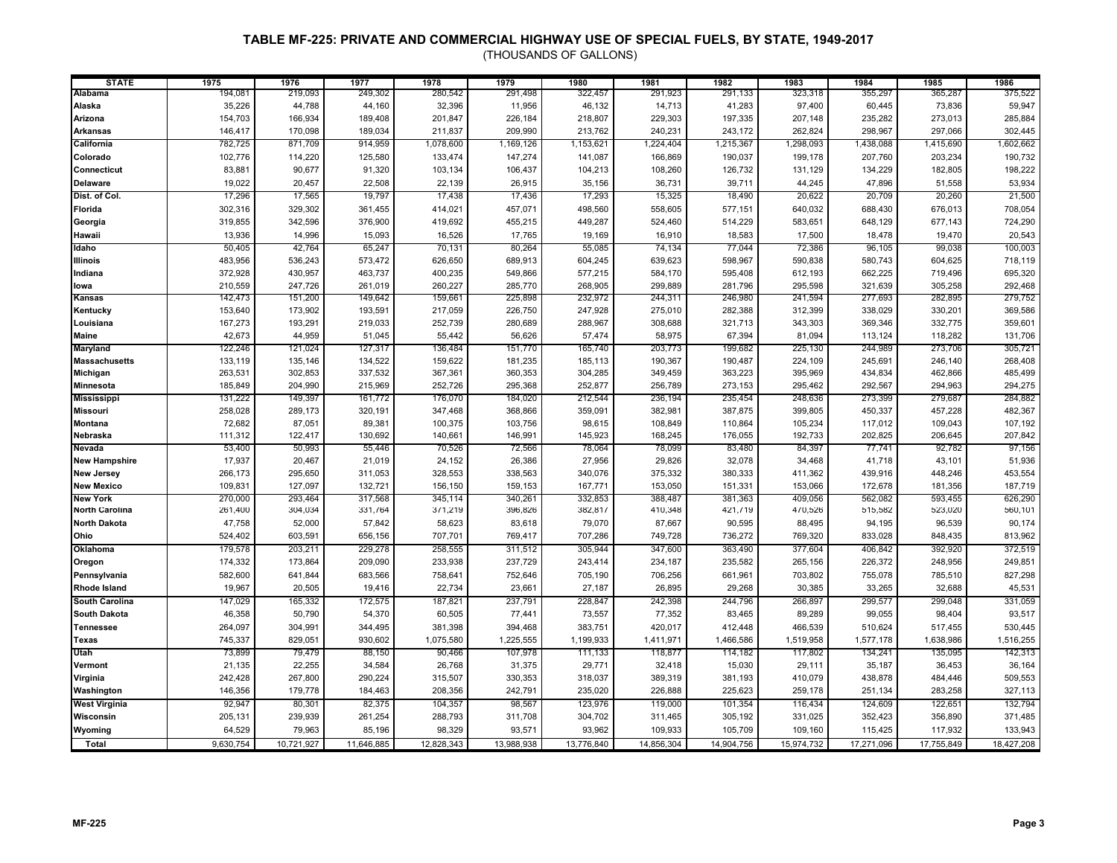| <b>STATE</b>          | 1975      | 1976       | 1977       | 1978       | 1979       | 1980       | 1981       | 1982       | 1983       | 1984       | 1985       | 1986       |
|-----------------------|-----------|------------|------------|------------|------------|------------|------------|------------|------------|------------|------------|------------|
| <b>Alabama</b>        | 194,081   | 219,093    | 249,302    | 280,542    | 291,498    | 322,457    | 291,923    | 291,133    | 323,318    | 355,297    | 365,287    | 375,522    |
| Alaska                | 35,226    | 44,788     | 44,160     | 32,396     | 11,956     | 46,132     | 14,713     | 41,283     | 97,400     | 60,445     | 73,836     | 59,947     |
| Arizona               | 154,703   | 166,934    | 189,408    | 201,847    | 226,184    | 218,807    | 229,303    | 197,335    | 207,148    | 235,282    | 273,013    | 285,884    |
| <b>Arkansas</b>       | 146,417   | 170,098    | 189,034    | 211,837    | 209,990    | 213,762    | 240,231    | 243,172    | 262,824    | 298,967    | 297,066    | 302,445    |
| California            | 782,725   | 871,709    | 914,959    | 1,078,600  | 1,169,126  | 1,153,621  | 1,224,404  | 1,215,367  | 1,298,093  | 1,438,088  | 1,415,690  | 1,602,662  |
| Colorado              | 102,776   | 114,220    | 125,580    | 133,474    | 147,274    | 141,087    | 166,869    | 190,037    | 199,178    | 207,760    | 203,234    | 190,732    |
| Connecticut           | 83,881    | 90,677     | 91,320     | 103,134    | 106,437    | 104,213    | 108,260    | 126,732    | 131,129    | 134,229    | 182,805    | 198,222    |
| <b>Delaware</b>       | 19,022    | 20,457     | 22,508     | 22,139     | 26,915     | 35,156     | 36,731     | 39,711     | 44,245     | 47,896     | 51,558     | 53,934     |
| Dist. of Col.         | 17,296    | 17,565     | 19,797     | 17,438     | 17,436     | 17,293     | 15,325     | 18,490     | 20,622     | 20,709     | 20,260     | 21,500     |
| Florida               | 302,316   | 329,302    | 361,455    | 414,021    | 457,071    | 498,560    | 558,605    | 577,151    | 640,032    | 688,430    | 676,013    | 708,054    |
| Georgia               | 319,855   | 342,596    | 376,900    | 419,692    | 455,215    | 449,287    | 524,460    | 514,229    | 583,651    | 648,129    | 677,143    | 724,290    |
| Hawaii                | 13,936    | 14,996     | 15,093     | 16,526     | 17,765     | 19,169     | 16,910     | 18,583     | 17,500     | 18,478     | 19,470     | 20,543     |
| Idaho                 | 50,405    | 42,764     | 65,247     | 70,131     | 80,264     | 55,085     | 74,134     | 77,044     | 72,386     | 96,105     | 99,038     | 100,003    |
| <b>Illinois</b>       | 483,956   | 536,243    | 573,472    | 626,650    | 689,913    | 604,245    | 639,623    | 598,967    | 590,838    | 580,743    | 604,625    | 718,119    |
| Indiana               | 372,928   | 430,957    | 463,737    | 400,235    | 549,866    | 577,215    | 584,170    | 595,408    | 612,193    | 662,225    | 719,496    | 695,320    |
| lowa                  | 210,559   | 247,726    | 261,019    | 260,227    | 285,770    | 268,905    | 299,889    | 281,796    | 295,598    | 321,639    | 305,258    | 292,468    |
| Kansas                | 142,473   | 151,200    | 149,642    | 159,661    | 225,898    | 232,972    | 244,311    | 246,980    | 241,594    | 277,693    | 282,895    | 279,752    |
| Kentucky              | 153,640   | 173,902    | 193,591    | 217,059    | 226,750    | 247,928    | 275,010    | 282,388    | 312,399    | 338,029    | 330,201    | 369,586    |
| Louisiana             | 167,273   | 193,291    | 219,033    | 252,739    | 280,689    | 288,967    | 308,688    | 321,713    | 343,303    | 369,346    | 332,775    | 359,601    |
| <b>Maine</b>          | 42,673    | 44,959     | 51,045     | 55,442     | 56,626     | 57,474     | 58,975     | 67,394     | 81,094     | 113,124    | 118,282    | 131,706    |
| <b>Maryland</b>       | 122,246   | 121,024    | 127,317    | 136,484    | 151,770    | 165,740    | 203,773    | 199,682    | 225,130    | 244,989    | 273,706    | 305,721    |
| <b>Massachusetts</b>  | 133,119   | 135,146    | 134,522    | 159,622    | 181,235    | 185,113    | 190,367    | 190,487    | 224,109    | 245,691    | 246,140    | 268,408    |
| Michigan              | 263,531   | 302,853    | 337,532    | 367,361    | 360,353    | 304,285    | 349,459    | 363,223    | 395,969    | 434,834    | 462,866    | 485,499    |
| Minnesota             | 185,849   | 204,990    | 215,969    | 252,726    | 295,368    | 252,877    | 256,789    | 273,153    | 295,462    | 292,567    | 294,963    | 294,275    |
| <b>Mississippi</b>    | 131,222   | 149,397    | 161,772    | 176,070    | 184,020    | 212,544    | 236,194    | 235,454    | 248,636    | 273,399    | 279,687    | 284,882    |
| <b>Missouri</b>       | 258,028   | 289,173    | 320,191    | 347,468    | 368,866    | 359,091    | 382,981    | 387,875    | 399,805    | 450,337    | 457,228    | 482,367    |
| Montana               | 72,682    | 87,051     | 89,381     | 100,375    | 103,756    | 98,615     | 108,849    | 110,864    | 105,234    | 117,012    | 109,043    | 107,192    |
| Nebraska              | 111,312   | 122,417    | 130,692    | 140,661    | 146,991    | 145,923    | 168,245    | 176,055    | 192,733    | 202,825    | 206,645    | 207,842    |
| Nevada                | 53,400    | 50,993     | 55,446     | 70,526     | 72,566     | 78,064     | 78,099     | 83,480     | 84,397     | 77,741     | 92,782     | 97,156     |
| <b>New Hampshire</b>  | 17,937    | 20,467     | 21,019     | 24,152     | 26,386     | 27,956     | 29,826     | 32,078     | 34,468     | 41,718     | 43,101     | 51,936     |
| <b>New Jersey</b>     | 266,173   | 295,650    | 311,053    | 328,553    | 338,563    | 340,076    | 375,332    | 380,333    | 411,362    | 439,916    | 448,246    | 453,554    |
| <b>New Mexico</b>     | 109,831   | 127,097    | 132,721    | 156,150    | 159,153    | 167,771    | 153,050    | 151,331    | 153,066    | 172,678    | 181,356    | 187,719    |
| <b>New York</b>       | 270,000   | 293,464    | 317,568    | 345,114    | 340,261    | 332,853    | 388,487    | 381,363    | 409,056    | 562,082    | 593,455    | 626,290    |
| <b>North Carolina</b> | 261,400   | 304,034    | 331,764    | 371,219    | 396,826    | 382,817    | 410,348    | 421,719    | 470,526    | 515,582    | 523,020    | 560,101    |
| <b>North Dakota</b>   | 47,758    | 52,000     | 57,842     | 58,623     | 83,618     | 79,070     | 87,667     | 90,595     | 88,495     | 94,195     | 96,539     | 90,174     |
| Ohio                  | 524,402   | 603,591    | 656,156    | 707,701    | 769,417    | 707,286    | 749,728    | 736,272    | 769,320    | 833,028    | 848,435    | 813,962    |
| Oklahoma              | 179,578   | 203,21'    | 229,278    | 258,555    | 311,512    | 305,944    | 347,600    | 363,490    | 377,604    | 406,842    | 392,920    | 372,519    |
| Oregon                | 174,332   | 173,864    | 209,090    | 233,938    | 237,729    | 243,414    | 234,187    | 235,582    | 265,156    | 226,372    | 248,956    | 249,851    |
| Pennsylvania          | 582,600   | 641,844    | 683,566    | 758,641    | 752,646    | 705,190    | 706,256    | 661,961    | 703,802    | 755,078    | 785,510    | 827,298    |
| <b>Rhode Island</b>   | 19,967    | 20,505     | 19,416     | 22,734     | 23,661     | 27,187     | 26,895     | 29,268     | 30,385     | 33,265     | 32,688     | 45,531     |
| South Carolina        | 147,029   | 165,332    | 172,575    | 187,821    | 237,791    | 228,847    | 242,398    | 244,796    | 266,897    | 299,577    | 299,048    | 331,059    |
| <b>South Dakota</b>   | 46,358    | 50,790     | 54,370     | 60,505     | 77,441     | 73,557     | 77,352     | 83,465     | 89,289     | 99,055     | 98,404     | 93,517     |
| <b>Tennessee</b>      | 264,097   | 304,991    | 344,495    | 381,398    | 394,468    | 383,751    | 420,017    | 412,448    | 466,539    | 510,624    | 517,455    | 530,445    |
| <b>Texas</b>          | 745,337   | 829,051    | 930,602    | 1,075,580  | 1,225,555  | 1,199,933  | 1,411,971  | 1,466,586  | 1,519,958  | 1,577,178  | 1,638,986  | 1,516,255  |
| Utah                  | 73,899    | 79,479     | 88,150     | 90,466     | 107,978    | 111,133    | 118,877    | 114,182    | 117,802    | 134,241    | 135,095    | 142,313    |
| Vermont               | 21,135    | 22,255     | 34,584     | 26,768     | 31,375     | 29,771     | 32,418     | 15,030     | 29,111     | 35,187     | 36,453     | 36,164     |
| Virginia              | 242,428   | 267,800    | 290,224    | 315,507    | 330,353    | 318,037    | 389,319    | 381,193    | 410,079    | 438,878    | 484,446    | 509,553    |
| Washington            | 146,356   | 179,778    | 184,463    | 208,356    | 242,791    | 235,020    | 226,888    | 225,623    | 259,178    | 251,134    | 283,258    | 327,113    |
| <b>West Virginia</b>  | 92,947    | 80,301     | 82,375     | 104,357    | 98,567     | 123,976    | 119,000    | 101,354    | 116,434    | 124,609    | 122,651    | 132,794    |
| Wisconsin             | 205,131   | 239,939    | 261,254    | 288,793    | 311,708    | 304,702    | 311,465    | 305,192    | 331,025    | 352,423    | 356,890    | 371,485    |
|                       |           |            | 85,196     |            |            |            |            |            |            |            | 117,932    | 133,943    |
| Wyoming               | 64,529    | 79,963     |            | 98,329     | 93,571     | 93,962     | 109,933    | 105,709    | 109,160    | 115,425    |            |            |
| Total                 | 9,630,754 | 10,721,927 | 11.646.885 | 12,828,343 | 13,988,938 | 13,776,840 | 14,856,304 | 14,904,756 | 15,974,732 | 17,271,096 | 17,755,849 | 18,427,208 |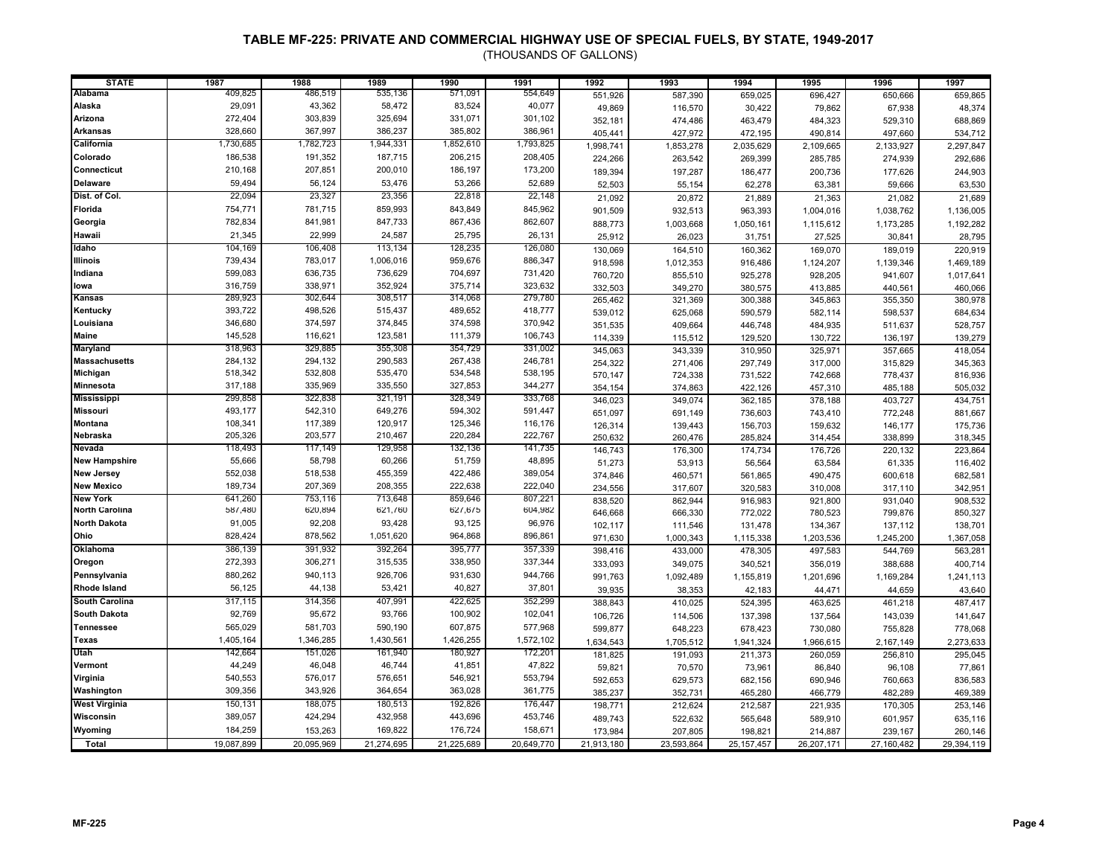| <b>STATE</b>          | 1987       | 1988       | 1989       | 1990       | 1991       | 1992       | 1993       | 1994         | 1995       | 1996       | 1997       |
|-----------------------|------------|------------|------------|------------|------------|------------|------------|--------------|------------|------------|------------|
| Alabama               | 409,825    | 486,519    | 535,136    | 571,091    | 554,649    | 551,926    | 587,390    | 659,025      | 696,427    | 650,666    | 659,865    |
| Alaska                | 29,091     | 43,362     | 58,472     | 83,524     | 40,077     | 49,869     | 116,570    | 30,422       | 79,862     | 67,938     | 48,374     |
| Arizona               | 272,404    | 303,839    | 325,694    | 331,071    | 301,102    | 352,181    | 474,486    | 463,479      | 484,323    | 529,310    | 688,869    |
| <b>Arkansas</b>       | 328,660    | 367,997    | 386,237    | 385,802    | 386,961    | 405,441    | 427,972    | 472,195      | 490,814    | 497,660    | 534,712    |
| California            | 1,730,685  | 1,782,723  | 1,944,331  | 1,852,610  | 1,793,825  | 1,998,741  | 1,853,278  | 2,035,629    | 2,109,665  | 2,133,927  | 2,297,847  |
| Colorado              | 186,538    | 191,352    | 187,715    | 206,215    | 208,405    | 224,266    | 263,542    | 269,399      | 285,785    | 274,939    | 292,686    |
| Connecticut           | 210,168    | 207,851    | 200,010    | 186,197    | 173,200    | 189,394    | 197,287    | 186,477      | 200,736    | 177,626    | 244,903    |
| <b>Delaware</b>       | 59,494     | 56,124     | 53,476     | 53,266     | 52,689     | 52,503     | 55,154     | 62,278       | 63,381     | 59,666     | 63,530     |
| Dist. of Col.         | 22,094     | 23,327     | 23,356     | 22,818     | 22,148     | 21,092     | 20,872     | 21,889       | 21,363     | 21,082     | 21,689     |
| Florida               | 754,771    | 781,715    | 859,993    | 843,849    | 845,962    | 901,509    | 932,513    | 963,393      | 1,004,016  | 1,038,762  | 1,136,005  |
| Georgia               | 782,834    | 841,981    | 847,733    | 867,436    | 862,607    | 888,773    | 1,003,668  | 1,050,161    | 1,115,612  | 1,173,285  | 1,192,282  |
| Hawaii                | 21,345     | 22,999     | 24,587     | 25,795     | 26,131     | 25,912     | 26,023     | 31,751       | 27,525     | 30,841     | 28,795     |
| Idaho                 | 104,169    | 106,408    | 113,134    | 128,235    | 126,080    | 130,069    | 164,510    | 160,362      | 169,070    | 189,019    | 220,919    |
| <b>Illinois</b>       | 739,434    | 783,017    | 1,006,016  | 959,676    | 886,347    | 918,598    | 1,012,353  | 916,486      | 1,124,207  | 1,139,346  | 1,469,189  |
| Indiana               | 599,083    | 636,735    | 736,629    | 704,697    | 731,420    | 760,720    | 855,510    | 925,278      | 928,205    | 941,607    | 1,017,641  |
| lowa                  | 316,759    | 338,971    | 352,924    | 375,714    | 323,632    | 332,503    | 349,270    | 380,575      | 413,885    | 440,561    | 460,066    |
| Kansas                | 289,923    | 302,644    | 308,517    | 314,068    | 279,780    | 265,462    | 321,369    | 300,388      | 345,863    | 355,350    | 380,978    |
| Kentucky              | 393,722    | 498,526    | 515,437    | 489,652    | 418,777    | 539,012    | 625,068    | 590,579      | 582,114    | 598,537    | 684,634    |
| Louisiana             | 346,680    | 374,597    | 374,845    | 374,598    | 370,942    | 351,535    | 409,664    | 446,748      | 484,935    | 511,637    | 528,757    |
| <b>Maine</b>          | 145,528    | 116,621    | 123,581    | 111,379    | 106,743    | 114,339    | 115,512    | 129,520      | 130,722    | 136,197    | 139,279    |
| <b>Maryland</b>       | 318,963    | 329,885    | 355,308    | 354,729    | 331,002    | 345,063    | 343,339    | 310,950      | 325,971    | 357,665    | 418,054    |
| <b>Massachusetts</b>  | 284,132    | 294,132    | 290,583    | 267,438    | 246,781    | 254,322    | 271,406    | 297,749      | 317,000    | 315,829    | 345,363    |
| Michigan              | 518,342    | 532,808    | 535,470    | 534,548    | 538,195    | 570,147    | 724,338    | 731,522      | 742,668    | 778,437    | 816,936    |
| Minnesota             | 317,188    | 335,969    | 335,550    | 327,853    | 344,277    | 354,154    | 374,863    | 422,126      | 457,310    | 485,188    | 505,032    |
| <b>Mississippi</b>    | 299,858    | 322,838    | 321,191    | 328,349    | 333,768    | 346,023    | 349,074    | 362,185      | 378,188    | 403,727    | 434,751    |
| <b>Missouri</b>       | 493,177    | 542,310    | 649,276    | 594,302    | 591,447    | 651,097    | 691,149    | 736,603      | 743,410    | 772,248    | 881,667    |
| <b>Montana</b>        | 108,341    | 117,389    | 120,917    | 125,346    | 116,176    | 126,314    | 139,443    | 156,703      | 159,632    | 146,177    | 175,736    |
| Nebraska              | 205,326    | 203,577    | 210,467    | 220,284    | 222,767    | 250,632    | 260,476    | 285,824      | 314,454    | 338,899    | 318,345    |
| Nevada                | 118,493    | 117,149    | 129,958    | 132,136    | 141,735    | 146,743    | 176,300    | 174,734      | 176,726    | 220,132    | 223,864    |
| <b>New Hampshire</b>  | 55,666     | 58,798     | 60,266     | 51,759     | 48,895     | 51,273     | 53,913     | 56,564       | 63,584     | 61,335     | 116,402    |
| <b>New Jersey</b>     | 552,038    | 518,538    | 455,359    | 422,486    | 389,054    | 374,846    | 460,571    | 561,865      | 490,475    | 600,618    | 682,581    |
| <b>New Mexico</b>     | 189,734    | 207,369    | 208,355    | 222,638    | 222,040    | 234,556    | 317,607    | 320,583      | 310,008    | 317,110    | 342,951    |
| <b>New York</b>       | 641,260    | 753,116    | 713,648    | 859,646    | 807,221    | 838,520    | 862,944    | 916,983      | 921,800    | 931,040    | 908,532    |
| <b>North Carolina</b> | 587,480    | 620,894    | 621,760    | 627,675    | 604,982    | 646,668    | 666,330    | 772,022      | 780,523    | 799,876    | 850,327    |
| <b>North Dakota</b>   | 91,005     | 92,208     | 93,428     | 93,125     | 96,976     | 102,117    | 111,546    | 131,478      | 134,367    | 137,112    | 138,701    |
| Ohio                  | 828,424    | 878,562    | 1,051,620  | 964,868    | 896,861    | 971,630    | 1,000,343  | 1,115,338    | 1,203,536  | 1,245,200  | 1,367,058  |
| <b>Oklahoma</b>       | 386,139    | 391,932    | 392,264    | 395,777    | 357,339    | 398,416    | 433,000    | 478,305      | 497,583    | 544,769    | 563,281    |
| Oregon                | 272,393    | 306,271    | 315,535    | 338,950    | 337,344    | 333,093    | 349,075    | 340,521      | 356,019    | 388,688    | 400,714    |
| Pennsylvania          | 880,262    | 940,113    | 926,706    | 931,630    | 944,766    | 991,763    | 1,092,489  | 1,155,819    | 1,201,696  | 1,169,284  | 1,241,113  |
| <b>Rhode Island</b>   | 56,125     | 44,138     | 53,421     | 40,827     | 37,801     | 39,935     | 38,353     | 42,183       | 44,471     | 44,659     | 43,640     |
| South Carolina        | 317,115    | 314,356    | 407,991    | 422,625    | 352,299    | 388,843    | 410,025    | 524,395      | 463,625    | 461,218    | 487,417    |
| <b>South Dakota</b>   | 92,769     | 95,672     | 93,766     | 100,902    | 102,041    | 106,726    | 114,506    | 137,398      | 137,564    | 143,039    | 141,647    |
| <b>Tennessee</b>      | 565,029    | 581,703    | 590,190    | 607,875    | 577,968    | 599,877    | 648,223    | 678,423      | 730,080    | 755,828    | 778,068    |
| <b>Texas</b>          | 1,405,164  | 1,346,285  | 1,430,561  | 1,426,255  | 1,572,102  | 1,634,543  | 1,705,512  | 1,941,324    | 1,966,615  | 2,167,149  | 2,273,633  |
| Utah                  | 142,664    | 151,026    | 161,940    | 180,927    | 172,201    | 181,825    | 191,093    | 211,373      | 260,059    | 256,810    | 295,045    |
| Vermont               | 44,249     | 46,048     | 46,744     | 41,851     | 47,822     | 59,821     | 70,570     | 73,961       | 86,840     | 96,108     | 77,861     |
| Virginia              | 540,553    | 576,017    | 576,651    | 546,921    | 553,794    | 592,653    | 629,573    | 682,156      | 690,946    | 760,663    | 836,583    |
| Washington            | 309,356    | 343,926    | 364,654    | 363,028    | 361,775    | 385,237    | 352,731    | 465,280      | 466,779    | 482,289    | 469,389    |
| <b>West Virginia</b>  | 150,131    | 188,075    | 180,513    | 192,826    | 176,447    | 198,771    | 212,624    | 212,587      | 221,935    | 170,305    | 253,146    |
| Wisconsin             | 389,057    | 424,294    | 432,958    | 443,696    | 453,746    | 489,743    | 522,632    | 565,648      | 589,910    | 601,957    | 635,116    |
| Wyoming               | 184,259    | 153,263    | 169,822    | 176,724    | 158,671    | 173,984    | 207,805    | 198,821      | 214,887    | 239,167    | 260,146    |
| Total                 | 19,087,899 | 20,095,969 | 21,274,695 | 21,225,689 | 20,649,770 | 21,913,180 | 23,593,864 | 25, 157, 457 | 26,207,171 | 27,160,482 | 29,394,119 |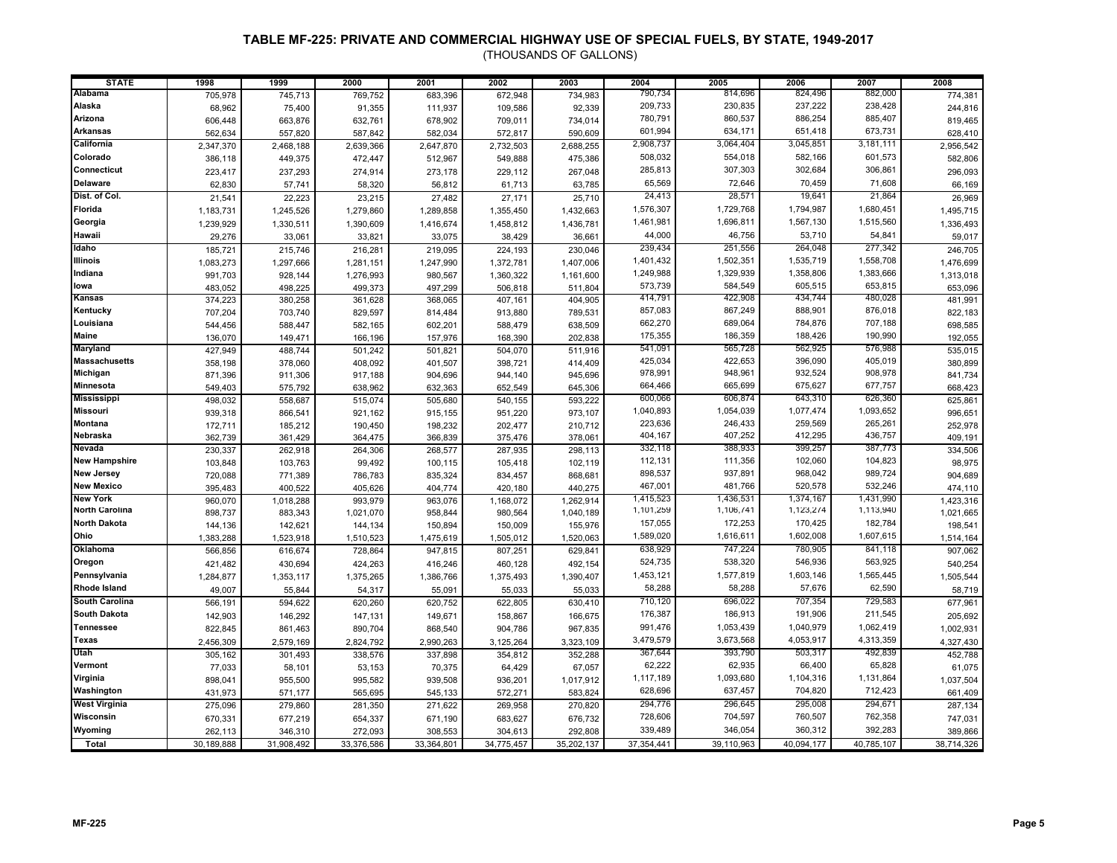| <b>STATE</b>           | 1998               | 1999               | 2000                 | 2001               | 2002               | 2003                 | 2004              | 2005              | 2006              | 2007              | 2008                 |
|------------------------|--------------------|--------------------|----------------------|--------------------|--------------------|----------------------|-------------------|-------------------|-------------------|-------------------|----------------------|
| <b>Alabama</b>         | 705,978            | 745,713            | 769,752              | 683,396            | 672,948            | 734,983              | 790,734           | 814,696           | 824,496           | 882,000           | 774,381              |
| Alaska                 | 68,962             | 75,400             | 91,355               | 111,937            | 109,586            | 92,339               | 209,733           | 230,835           | 237,222           | 238,428           | 244,816              |
| Arizona                | 606,448            | 663,876            | 632,761              | 678,902            | 709,011            | 734,014              | 780,791           | 860,537           | 886,254           | 885,407           | 819,465              |
| <b>Arkansas</b>        | 562,634            | 557,820            | 587,842              | 582,034            | 572,817            | 590,609              | 601,994           | 634,171           | 651,418           | 673,731           | 628,410              |
| California             | 2,347,370          | 2,468,188          | 2,639,366            | 2,647,870          | 2,732,503          | 2,688,255            | 2,908,737         | 3,064,404         | 3,045,851         | 3,181,111         | 2,956,542            |
| Colorado               | 386,118            | 449,375            | 472,447              | 512,967            | 549,888            | 475,386              | 508,032           | 554,018           | 582,166           | 601,573           | 582,806              |
| Connecticut            | 223,417            | 237,293            | 274,914              | 273,178            | 229,112            | 267,048              | 285,813           | 307,303           | 302,684           | 306,861           | 296,093              |
| <b>Delaware</b>        | 62,830             | 57,741             | 58,320               | 56,812             | 61,713             | 63,785               | 65,569            | 72,646            | 70,459            | 71,608            | 66,169               |
| Dist. of Col.          | 21,541             | 22,223             | 23,215               | 27,482             | 27,171             | 25,710               | 24,413            | 28,571            | 19,641            | 21,864            | 26,969               |
| Florida                |                    |                    |                      |                    |                    |                      | 1,576,307         | 1,729,768         | 1,794,987         | 1,680,451         |                      |
| Georgia                | 1,183,731          | 1,245,526          | 1,279,860            | 1,289,858          | 1,355,450          | 1,432,663            | 1,461,981         | 1,696,811         | 1,567,130         | 1,515,560         | 1,495,715            |
| Hawaii                 | 1,239,929          | 1,330,511          | 1,390,609            | 1,416,674          | 1,458,812          | 1,436,781            | 44,000            | 46,756            | 53,710            | 54,841            | 1,336,493            |
| Idaho                  | 29,276             | 33,061             | 33,821               | 33,075             | 38,429             | 36,661               | 239,434           | 251,556           | 264,048           | 277,342           | 59,017               |
| <b>Illinois</b>        | 185,721            | 215,746            | 216,281              | 219,095            | 224,193            | 230,046              | 1,401,432         | 1,502,351         | 1,535,719         | 1,558,708         | 246,705              |
| Indiana                | 1,083,273          | 1,297,666          | 1,281,151            | 1,247,990          | 1,372,781          | 1,407,006            | 1,249,988         | 1,329,939         | 1,358,806         | 1,383,666         | 1,476,699            |
| lowa                   | 991,703            | 928,144            | 1,276,993            | 980,567            | 1,360,322          | 1,161,600            | 573,739           | 584,549           | 605,515           | 653,815           | 1,313,018            |
| Kansas                 | 483,052            | 498,225            | 499,373              | 497,299            | 506,818            | 511,804              | 414,791           | 422,908           | 434,744           | 480,028           | 653,096              |
| Kentucky               | 374,223            | 380,258            | 361,628              | 368,065            | 407,161            | 404,905              | 857,083           | 867,249           | 888,901           | 876,018           | 481,991              |
| Louisiana              | 707,204            | 703,740            | 829,597              | 814,484            | 913,880            | 789,531              | 662,270           | 689,064           | 784,876           | 707,188           | 822,183              |
| <b>Maine</b>           | 544,456            | 588,447            | 582,165              | 602,201            | 588,479            | 638,509              | 175,355           | 186,359           | 188,426           | 190,990           | 698,585              |
| <b>Maryland</b>        | 136,070            | 149,471            | 166,196              | 157,976            | 168,390            | 202,838              | 541,091           | 565,728           | 562,925           | 576,988           | 192,055              |
| <b>Massachusetts</b>   | 427,949            | 488,744            | 501,242              | 501,821            | 504,070            | 511,916              | 425,034           | 422,653           | 396,090           | 405,019           | 535,015              |
| Michigan               | 358,198            | 378,060            | 408,092              | 401,507            | 398,721            | 414,409              | 978,991           | 948,961           | 932,524           | 908,978           | 380,899              |
| Minnesota              | 871,396            | 911,306            | 917,188              | 904,696            | 944,140            | 945,696              | 664,466           | 665,699           | 675,627           | 677,757           | 841,734              |
| <b>Mississippi</b>     | 549,403            | 575,792            | 638,962              | 632,363            | 652,549            | 645,306              | 600,066           | 606,874           | 643,310           | 626,360           | 668,423              |
| <b>Missouri</b>        | 498,032            | 558,687            | 515,074              | 505,680            | 540,155            | 593,222              | 1,040,893         | 1,054,039         | 1,077,474         | 1,093,652         | 625,861              |
| <b>Montana</b>         | 939,318            | 866,541            | 921,162              | 915,155            | 951,220            | 973,107              | 223,636           | 246,433           | 259,569           | 265,261           | 996,651              |
| Nebraska               | 172,711            | 185,212            | 190,450              | 198,232            | 202,477            | 210,712              | 404,167           | 407,252           | 412,295           | 436,757           | 252,978              |
| Nevada                 | 362,739            | 361,429            | 364,475              | 366,839            | 375,476            | 378,061              | 332,118           | 388,933           | 399,257           | 387,773           | 409,191              |
| <b>New Hampshire</b>   | 230,337            | 262,918            | 264,306              | 268,577            | 287,935            | 298,113              | 112,131           | 111,356           | 102,060           | 104,823           | 334,506              |
| <b>New Jersey</b>      | 103,848            | 103,763            | 99,492               | 100,115            | 105,418            | 102,119              | 898,537           | 937,891           | 968,042           | 989,724           | 98,975               |
| <b>New Mexico</b>      | 720,088            | 771,389            | 786,783              | 835,324            | 834,457            | 868,681              | 467,001           | 481,766           | 520,578           | 532,246           | 904,689              |
| <b>New York</b>        | 395,483            | 400,522            | 405,626              | 404,774            | 420,180            | 440,275              | 1,415,523         | 1,436,531         | 1,374,167         | 1,431,990         | 474,110              |
| <b>North Carolina</b>  | 960,070            | 1,018,288          | 993,979              | 963,076            | 1,168,072          | 1,262,914            | 1,101,259         | 1,106,741         | 1,123,274         | 1,113,940         | 1,423,316            |
| <b>North Dakota</b>    | 898,737<br>144,136 | 883,343<br>142,621 | 1,021,070<br>144,134 | 958,844<br>150,894 | 980,564<br>150,009 | 1,040,189<br>155,976 | 157,055           | 172,253           | 170,425           | 182,784           | 1,021,665<br>198,541 |
| Ohio                   |                    |                    |                      |                    |                    |                      | 1,589,020         | 1,616,611         | 1,602,008         | 1,607,615         |                      |
| Oklahoma               | 1,383,288          | 1,523,918          | 1,510,523            | 1,475,619          | 1,505,012          | 1,520,063            | 638,929           | 747,224           | 780,905           | 841,118           | 1,514,164<br>907,062 |
| Oregon                 | 566,856            | 616,674            | 728,864              | 947,815            | 807,251            | 629,841              | 524,735           | 538,320           | 546,936           | 563,925           |                      |
| Pennsylvania           | 421,482            | 430,694            | 424,263              | 416,246            | 460,128            | 492,154              | 1,453,121         | 1,577,819         | 1,603,146         | 1,565,445         | 540,254              |
| <b>Rhode Island</b>    | 1,284,877          | 1,353,117          | 1,375,265            | 1,386,766          | 1,375,493          | 1,390,407            | 58,288            | 58,288            | 57,676            | 62,590            | 1,505,544            |
| South Carolina         | 49,007             | 55,844             | 54,317               | 55,091             | 55,033             | 55,033               | 710,120           | 696,022           | 707,354           | 729,583           | 58,719               |
| <b>South Dakota</b>    | 566,191            | 594,622            | 620,260              | 620,752            | 622,805            | 630,410              | 176,387           | 186,913           | 191,906           | 211,545           | 677,961              |
| <b>Tennessee</b>       | 142,903            | 146,292            | 147,131              | 149,671            | 158,867            | 166,675              | 991,476           | 1,053,439         | 1,040,979         | 1,062,419         | 205,692              |
|                        | 822,845            | 861,463            | 890,704              | 868,540            | 904,786            | 967,835              |                   |                   |                   |                   | 1,002,931            |
| <b>Texas</b>           | 2,456,309          | 2,579,169          | 2,824,792            | 2,990,263          | 3,125,264          | 3,323,109            | 3,479,579         | 3,673,568         | 4,053,917         | 4,313,359         | 4,327,430            |
| Utah<br>Vermont        | 305,162            | 301,493            | 338,576              | 337,898            | 354,812            | 352,288              | 367,644<br>62,222 | 393,790<br>62,935 | 503,317<br>66,400 | 492,839<br>65,828 | 452,788              |
|                        | 77,033             | 58,101             | 53,153               | 70,375             | 64,429             | 67,057               | 1,117,189         | 1,093,680         | 1,104,316         | 1,131,864         | 61,075               |
| Virginia<br>Washington | 898,041            | 955,500            | 995,582              | 939,508            | 936,201            | 1,017,912            | 628,696           | 637,457           | 704,820           | 712,423           | 1,037,504            |
|                        | 431,973            | 571,177            | 565,695              | 545,133            | 572,271            | 583,824              |                   |                   |                   |                   | 661,409              |
| <b>West Virginia</b>   | 275,096            | 279,860            | 281,350              | 271,622            | 269,958            | 270,820              | 294,776           | 296,645           | 295,008           | 294,671           | 287,134              |
| Wisconsin              | 670,331            | 677,219            | 654,337              | 671,190            | 683,627            | 676,732              | 728,606           | 704,597           | 760,507           | 762,358           | 747,031              |
| Wyoming                | 262,113            | 346,310            | 272,093              | 308,553            | 304,613            | 292,808              | 339,489           | 346,054           | 360,312           | 392,283           | 389,866              |
| Total                  | 30,189,888         | 31,908,492         | 33,376,586           | 33,364,801         | 34,775,457         | 35,202,137           | 37, 354, 441      | 39,110,963        | 40,094,177        | 40,785,107        | 38,714,326           |